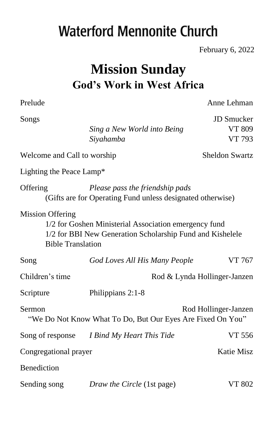# **Waterford Mennonite Church**

February 6, 2022

# **Mission Sunday God's Work in West Africa**

Prelude Anne Lehman

| Songs                                                                                                                                                                     |                                                                                               | <b>JD</b> Smucker            |  |  |  |  |
|---------------------------------------------------------------------------------------------------------------------------------------------------------------------------|-----------------------------------------------------------------------------------------------|------------------------------|--|--|--|--|
|                                                                                                                                                                           | Sing a New World into Being                                                                   | VT 809                       |  |  |  |  |
|                                                                                                                                                                           | Siyahamba                                                                                     | VT 793                       |  |  |  |  |
| Welcome and Call to worship                                                                                                                                               |                                                                                               | <b>Sheldon Swartz</b>        |  |  |  |  |
| Lighting the Peace Lamp*                                                                                                                                                  |                                                                                               |                              |  |  |  |  |
| Offering                                                                                                                                                                  | Please pass the friendship pads<br>(Gifts are for Operating Fund unless designated otherwise) |                              |  |  |  |  |
| <b>Mission Offering</b><br>1/2 for Goshen Ministerial Association emergency fund<br>1/2 for BBI New Generation Scholarship Fund and Kishelele<br><b>Bible Translation</b> |                                                                                               |                              |  |  |  |  |
| Song                                                                                                                                                                      | God Loves All His Many People                                                                 | VT 767                       |  |  |  |  |
| Children's time                                                                                                                                                           |                                                                                               | Rod & Lynda Hollinger-Janzen |  |  |  |  |
| Scripture                                                                                                                                                                 | Philippians 2:1-8                                                                             |                              |  |  |  |  |
| Sermon<br>Rod Hollinger-Janzen<br>"We Do Not Know What To Do, But Our Eyes Are Fixed On You"                                                                              |                                                                                               |                              |  |  |  |  |
|                                                                                                                                                                           | Song of response I Bind My Heart This Tide                                                    | VT 556                       |  |  |  |  |
| Congregational prayer                                                                                                                                                     |                                                                                               | <b>Katie Misz</b>            |  |  |  |  |
| Benediction                                                                                                                                                               |                                                                                               |                              |  |  |  |  |
| Sending song                                                                                                                                                              | Draw the Circle (1st page)                                                                    | <b>VT 802</b>                |  |  |  |  |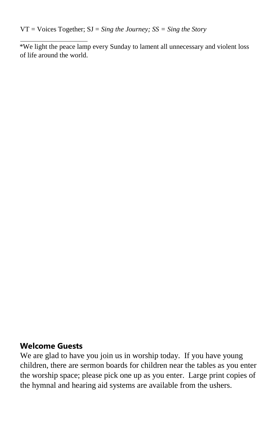VT = Voices Together; SJ = *Sing the Journey; SS = Sing the Story* 

\*We light the peace lamp every Sunday to lament all unnecessary and violent loss of life around the world.

#### **Welcome Guests**

We are glad to have you join us in worship today. If you have young children, there are sermon boards for children near the tables as you enter the worship space; please pick one up as you enter. Large print copies of the hymnal and hearing aid systems are available from the ushers.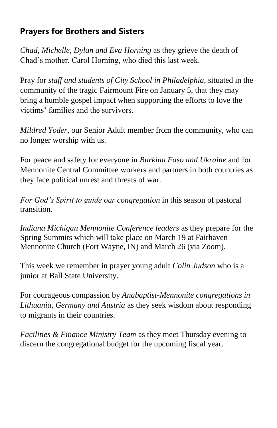## **Prayers for Brothers and Sisters**

*Chad, Michelle, Dylan and Eva Horning* as they grieve the death of Chad's mother, Carol Horning, who died this last week.

Pray for *staff and students of City School in Philadelphia*, situated in the community of the tragic Fairmount Fire on January 5, that they may bring a humble gospel impact when supporting the efforts to love the victims' families and the survivors.

*Mildred Yoder,* our Senior Adult member from the community, who can no longer worship with us.

For peace and safety for everyone in *Burkina Faso and Ukraine* and for Mennonite Central Committee workers and partners in both countries as they face political unrest and threats of war.

*For God's Spirit to guide our congregation* in this season of pastoral transition.

*Indiana Michigan Mennonite Conference leaders* as they prepare for the Spring Summits which will take place on March 19 at Fairhaven Mennonite Church (Fort Wayne, IN) and March 26 (via Zoom).

This week we remember in prayer young adult *Colin Judson* who is a junior at Ball State University.

For courageous compassion by *Anabaptist-Mennonite congregations in Lithuania, Germany and Austria* as they seek wisdom about responding to migrants in their countries.

*Facilities & Finance Ministry Team* as they meet Thursday evening to discern the congregational budget for the upcoming fiscal year.